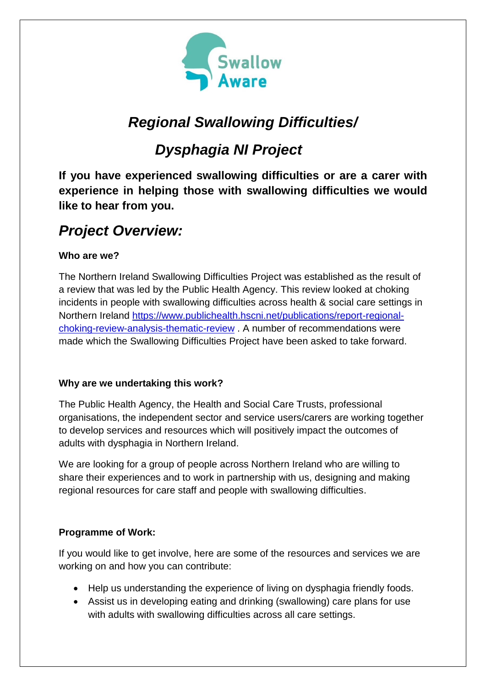

# *Regional Swallowing Difficulties/*

# *Dysphagia NI Project*

**If you have experienced swallowing difficulties or are a carer with experience in helping those with swallowing difficulties we would like to hear from you.**

# *Project Overview:*

## **Who are we?**

The Northern Ireland Swallowing Difficulties Project was established as the result of a review that was led by the Public Health Agency. This review looked at choking incidents in people with swallowing difficulties across health & social care settings in Northern Ireland [https://www.publichealth.hscni.net/publications/report-regional](https://www.publichealth.hscni.net/publications/report-regional-choking-review-analysis-thematic-review)[choking-review-analysis-thematic-review](https://www.publichealth.hscni.net/publications/report-regional-choking-review-analysis-thematic-review) . A number of recommendations were made which the Swallowing Difficulties Project have been asked to take forward.

### **Why are we undertaking this work?**

The Public Health Agency, the Health and Social Care Trusts, professional organisations, the independent sector and service users/carers are working together to develop services and resources which will positively impact the outcomes of adults with dysphagia in Northern Ireland.

We are looking for a group of people across Northern Ireland who are willing to share their experiences and to work in partnership with us, designing and making regional resources for care staff and people with swallowing difficulties.

### **Programme of Work:**

If you would like to get involve, here are some of the resources and services we are working on and how you can contribute:

- Help us understanding the experience of living on dysphagia friendly foods.
- Assist us in developing eating and drinking (swallowing) care plans for use with adults with swallowing difficulties across all care settings.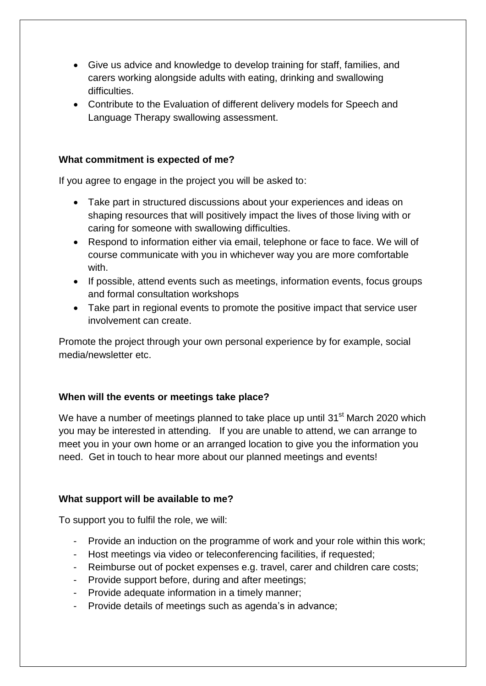- Give us advice and knowledge to develop training for staff, families, and carers working alongside adults with eating, drinking and swallowing difficulties.
- Contribute to the Evaluation of different delivery models for Speech and Language Therapy swallowing assessment.

#### **What commitment is expected of me?**

If you agree to engage in the project you will be asked to:

- Take part in structured discussions about your experiences and ideas on shaping resources that will positively impact the lives of those living with or caring for someone with swallowing difficulties.
- Respond to information either via email, telephone or face to face. We will of course communicate with you in whichever way you are more comfortable with.
- If possible, attend events such as meetings, information events, focus groups and formal consultation workshops
- Take part in regional events to promote the positive impact that service user involvement can create.

Promote the project through your own personal experience by for example, social media/newsletter etc.

#### **When will the events or meetings take place?**

We have a number of meetings planned to take place up until 31<sup>st</sup> March 2020 which you may be interested in attending. If you are unable to attend, we can arrange to meet you in your own home or an arranged location to give you the information you need. Get in touch to hear more about our planned meetings and events!

#### **What support will be available to me?**

To support you to fulfil the role, we will:

- Provide an induction on the programme of work and your role within this work;
- Host meetings via video or teleconferencing facilities, if requested;
- Reimburse out of pocket expenses e.g. travel, carer and children care costs;
- Provide support before, during and after meetings;
- Provide adequate information in a timely manner;
- Provide details of meetings such as agenda's in advance;